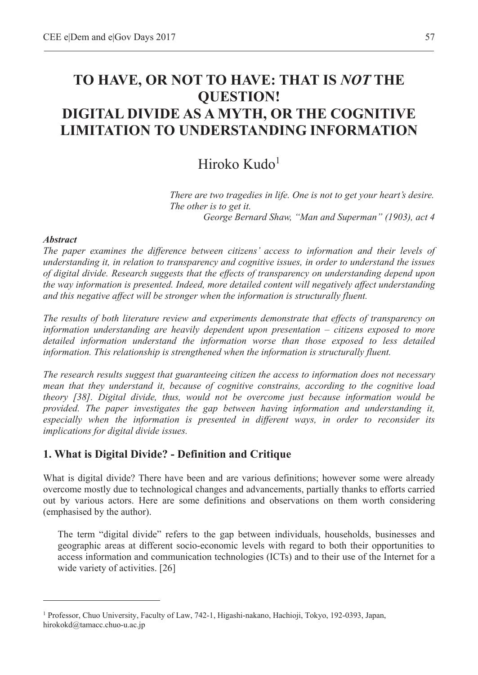# **TO HAVE, OR NOT TO HAVE: THAT IS** *NOT* **THE QUESTION! DIGITAL DIVIDE AS A MYTH, OR THE COGNITIVE LIMITATION TO UNDERSTANDING INFORMATION**

## Hiroko Kudo $1$

*There are two tragedies in life. One is not to get your heart's desire. The other is to get it. George Bernard Shaw, "Man and Superman" (1903), act 4* 

#### *Abstract*

 $\overline{a}$ 

*The paper examines the difference between citizens' access to information and their levels of understanding it, in relation to transparency and cognitive issues, in order to understand the issues of digital divide. Research suggests that the effects of transparency on understanding depend upon the way information is presented. Indeed, more detailed content will negatively affect understanding and this negative affect will be stronger when the information is structurally fluent.* 

*The results of both literature review and experiments demonstrate that effects of transparency on information understanding are heavily dependent upon presentation – citizens exposed to more detailed information understand the information worse than those exposed to less detailed information. This relationship is strengthened when the information is structurally fluent.* 

*The research results suggest that guaranteeing citizen the access to information does not necessary mean that they understand it, because of cognitive constrains, according to the cognitive load theory [38]. Digital divide, thus, would not be overcome just because information would be provided. The paper investigates the gap between having information and understanding it, especially when the information is presented in different ways, in order to reconsider its implications for digital divide issues.* 

## **1. What is Digital Divide? - Definition and Critique**

What is digital divide? There have been and are various definitions; however some were already overcome mostly due to technological changes and advancements, partially thanks to efforts carried out by various actors. Here are some definitions and observations on them worth considering (emphasised by the author).

The term "digital divide" refers to the gap between individuals, households, businesses and geographic areas at different socio-economic levels with regard to both their opportunities to access information and communication technologies (ICTs) and to their use of the Internet for a wide variety of activities. [26]

<sup>1</sup> Professor, Chuo University, Faculty of Law, 742-1, Higashi-nakano, Hachioji, Tokyo, 192-0393, Japan, hirokokd@tamacc.chuo-u.ac.jp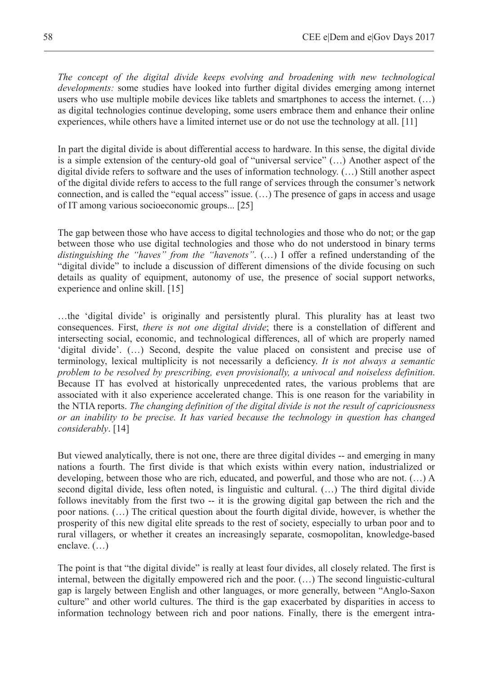*The concept of the digital divide keeps evolving and broadening with new technological developments:* some studies have looked into further digital divides emerging among internet users who use multiple mobile devices like tablets and smartphones to access the internet. (…) as digital technologies continue developing, some users embrace them and enhance their online experiences, while others have a limited internet use or do not use the technology at all. [11]

In part the digital divide is about differential access to hardware. In this sense, the digital divide is a simple extension of the century-old goal of "universal service" (…) Another aspect of the digital divide refers to software and the uses of information technology. (…) Still another aspect of the digital divide refers to access to the full range of services through the consumer's network connection, and is called the "equal access" issue. (…) The presence of gaps in access and usage of IT among various socioeconomic groups... [25]

The gap between those who have access to digital technologies and those who do not; or the gap between those who use digital technologies and those who do not understood in binary terms *distinguishing the "haves" from the "havenots"*. (…) I offer a refined understanding of the "digital divide" to include a discussion of different dimensions of the divide focusing on such details as quality of equipment, autonomy of use, the presence of social support networks, experience and online skill. [15]

…the 'digital divide' is originally and persistently plural. This plurality has at least two consequences. First, *there is not one digital divide*; there is a constellation of different and intersecting social, economic, and technological differences, all of which are properly named 'digital divide'. (…) Second, despite the value placed on consistent and precise use of terminology, lexical multiplicity is not necessarily a deficiency. *It is not always a semantic problem to be resolved by prescribing, even provisionally, a univocal and noiseless definition*. Because IT has evolved at historically unprecedented rates, the various problems that are associated with it also experience accelerated change. This is one reason for the variability in the NTIA reports. *The changing definition of the digital divide is not the result of capriciousness or an inability to be precise. It has varied because the technology in question has changed considerably*. [14]

But viewed analytically, there is not one, there are three digital divides -- and emerging in many nations a fourth. The first divide is that which exists within every nation, industrialized or developing, between those who are rich, educated, and powerful, and those who are not. (…) A second digital divide, less often noted, is linguistic and cultural. (…) The third digital divide follows inevitably from the first two -- it is the growing digital gap between the rich and the poor nations. (…) The critical question about the fourth digital divide, however, is whether the prosperity of this new digital elite spreads to the rest of society, especially to urban poor and to rural villagers, or whether it creates an increasingly separate, cosmopolitan, knowledge-based enclave. (…)

The point is that "the digital divide" is really at least four divides, all closely related. The first is internal, between the digitally empowered rich and the poor. (…) The second linguistic-cultural gap is largely between English and other languages, or more generally, between "Anglo-Saxon culture" and other world cultures. The third is the gap exacerbated by disparities in access to information technology between rich and poor nations. Finally, there is the emergent intra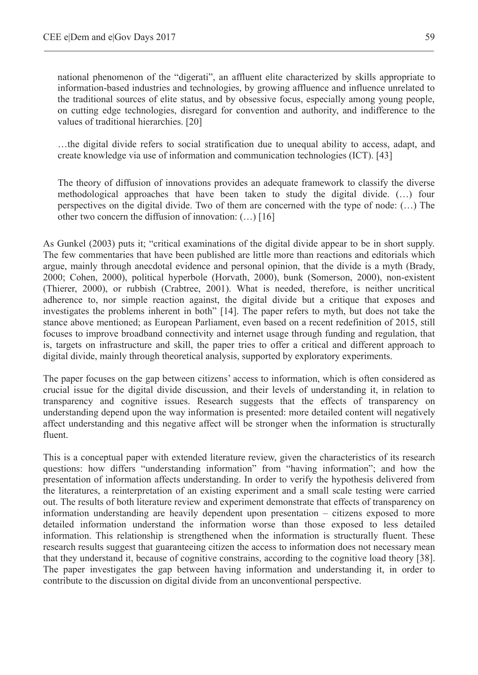national phenomenon of the "digerati", an affluent elite characterized by skills appropriate to information-based industries and technologies, by growing affluence and influence unrelated to the traditional sources of elite status, and by obsessive focus, especially among young people, on cutting edge technologies, disregard for convention and authority, and indifference to the values of traditional hierarchies. [20]

…the digital divide refers to social stratification due to unequal ability to access, adapt, and create knowledge via use of information and communication technologies (ICT). [43]

The theory of diffusion of innovations provides an adequate framework to classify the diverse methodological approaches that have been taken to study the digital divide. (…) four perspectives on the digital divide. Two of them are concerned with the type of node: (…) The other two concern the diffusion of innovation: (…) [16]

As Gunkel (2003) puts it; "critical examinations of the digital divide appear to be in short supply. The few commentaries that have been published are little more than reactions and editorials which argue, mainly through anecdotal evidence and personal opinion, that the divide is a myth (Brady, 2000; Cohen, 2000), political hyperbole (Horvath, 2000), bunk (Somerson, 2000), non-existent (Thierer, 2000), or rubbish (Crabtree, 2001). What is needed, therefore, is neither uncritical adherence to, nor simple reaction against, the digital divide but a critique that exposes and investigates the problems inherent in both" [14]. The paper refers to myth, but does not take the stance above mentioned; as European Parliament, even based on a recent redefinition of 2015, still focuses to improve broadband connectivity and internet usage through funding and regulation, that is, targets on infrastructure and skill, the paper tries to offer a critical and different approach to digital divide, mainly through theoretical analysis, supported by exploratory experiments.

The paper focuses on the gap between citizens' access to information, which is often considered as crucial issue for the digital divide discussion, and their levels of understanding it, in relation to transparency and cognitive issues. Research suggests that the effects of transparency on understanding depend upon the way information is presented: more detailed content will negatively affect understanding and this negative affect will be stronger when the information is structurally fluent.

This is a conceptual paper with extended literature review, given the characteristics of its research questions: how differs "understanding information" from "having information"; and how the presentation of information affects understanding. In order to verify the hypothesis delivered from the literatures, a reinterpretation of an existing experiment and a small scale testing were carried out. The results of both literature review and experiment demonstrate that effects of transparency on information understanding are heavily dependent upon presentation – citizens exposed to more detailed information understand the information worse than those exposed to less detailed information. This relationship is strengthened when the information is structurally fluent. These research results suggest that guaranteeing citizen the access to information does not necessary mean that they understand it, because of cognitive constrains, according to the cognitive load theory [38]. The paper investigates the gap between having information and understanding it, in order to contribute to the discussion on digital divide from an unconventional perspective.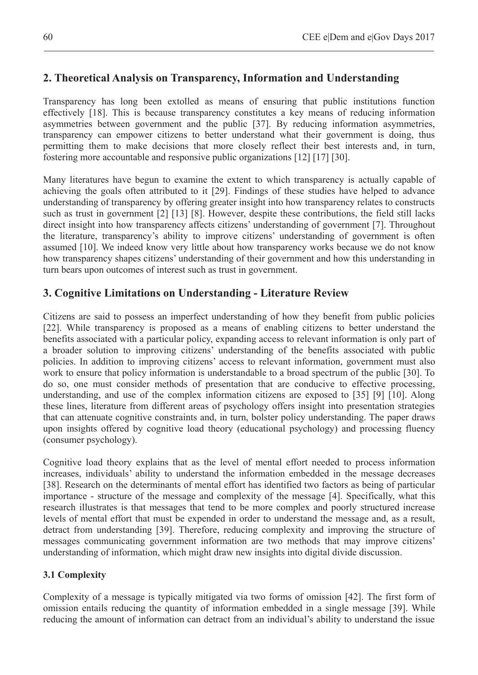## **2. Theoretical Analysis on Transparency, Information and Understanding**

Transparency has long been extolled as means of ensuring that public institutions function effectively [18]. This is because transparency constitutes a key means of reducing information asymmetries between government and the public [37]. By reducing information asymmetries, transparency can empower citizens to better understand what their government is doing, thus permitting them to make decisions that more closely reflect their best interests and, in turn, fostering more accountable and responsive public organizations [12] [17] [30].

Many literatures have begun to examine the extent to which transparency is actually capable of achieving the goals often attributed to it [29]. Findings of these studies have helped to advance understanding of transparency by offering greater insight into how transparency relates to constructs such as trust in government [2] [13] [8]. However, despite these contributions, the field still lacks direct insight into how transparency affects citizens' understanding of government [7]. Throughout the literature, transparency's ability to improve citizens' understanding of government is often assumed [10]. We indeed know very little about how transparency works because we do not know how transparency shapes citizens' understanding of their government and how this understanding in turn bears upon outcomes of interest such as trust in government.

## **3. Cognitive Limitations on Understanding - Literature Review**

Citizens are said to possess an imperfect understanding of how they benefit from public policies [22]. While transparency is proposed as a means of enabling citizens to better understand the benefits associated with a particular policy, expanding access to relevant information is only part of a broader solution to improving citizens' understanding of the benefits associated with public policies. In addition to improving citizens' access to relevant information, government must also work to ensure that policy information is understandable to a broad spectrum of the public [30]. To do so, one must consider methods of presentation that are conducive to effective processing, understanding, and use of the complex information citizens are exposed to [35] [9] [10]. Along these lines, literature from different areas of psychology offers insight into presentation strategies that can attenuate cognitive constraints and, in turn, bolster policy understanding. The paper draws upon insights offered by cognitive load theory (educational psychology) and processing fluency (consumer psychology).

Cognitive load theory explains that as the level of mental effort needed to process information increases, individuals' ability to understand the information embedded in the message decreases [38]. Research on the determinants of mental effort has identified two factors as being of particular importance - structure of the message and complexity of the message [4]. Specifically, what this research illustrates is that messages that tend to be more complex and poorly structured increase levels of mental effort that must be expended in order to understand the message and, as a result, detract from understanding [39]. Therefore, reducing complexity and improving the structure of messages communicating government information are two methods that may improve citizens' understanding of information, which might draw new insights into digital divide discussion.

#### **3.1 Complexity**

Complexity of a message is typically mitigated via two forms of omission [42]. The first form of omission entails reducing the quantity of information embedded in a single message [39]. While reducing the amount of information can detract from an individual's ability to understand the issue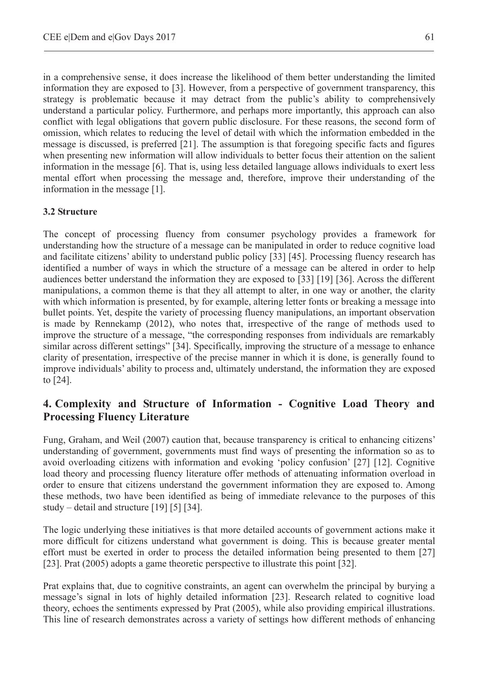in a comprehensive sense, it does increase the likelihood of them better understanding the limited information they are exposed to [3]. However, from a perspective of government transparency, this strategy is problematic because it may detract from the public's ability to comprehensively understand a particular policy. Furthermore, and perhaps more importantly, this approach can also conflict with legal obligations that govern public disclosure. For these reasons, the second form of omission, which relates to reducing the level of detail with which the information embedded in the message is discussed, is preferred [21]. The assumption is that foregoing specific facts and figures when presenting new information will allow individuals to better focus their attention on the salient information in the message [6]. That is, using less detailed language allows individuals to exert less mental effort when processing the message and, therefore, improve their understanding of the information in the message [1].

#### **3.2 Structure**

The concept of processing fluency from consumer psychology provides a framework for understanding how the structure of a message can be manipulated in order to reduce cognitive load and facilitate citizens' ability to understand public policy [33] [45]. Processing fluency research has identified a number of ways in which the structure of a message can be altered in order to help audiences better understand the information they are exposed to [33] [19] [36]. Across the different manipulations, a common theme is that they all attempt to alter, in one way or another, the clarity with which information is presented, by for example, altering letter fonts or breaking a message into bullet points. Yet, despite the variety of processing fluency manipulations, an important observation is made by Rennekamp (2012), who notes that, irrespective of the range of methods used to improve the structure of a message, "the corresponding responses from individuals are remarkably similar across different settings" [34]. Specifically, improving the structure of a message to enhance clarity of presentation, irrespective of the precise manner in which it is done, is generally found to improve individuals' ability to process and, ultimately understand, the information they are exposed to [24].

## **4. Complexity and Structure of Information - Cognitive Load Theory and Processing Fluency Literature**

Fung, Graham, and Weil (2007) caution that, because transparency is critical to enhancing citizens' understanding of government, governments must find ways of presenting the information so as to avoid overloading citizens with information and evoking 'policy confusion' [27] [12]. Cognitive load theory and processing fluency literature offer methods of attenuating information overload in order to ensure that citizens understand the government information they are exposed to. Among these methods, two have been identified as being of immediate relevance to the purposes of this study – detail and structure [19] [5] [34].

The logic underlying these initiatives is that more detailed accounts of government actions make it more difficult for citizens understand what government is doing. This is because greater mental effort must be exerted in order to process the detailed information being presented to them [27] [23]. Prat (2005) adopts a game theoretic perspective to illustrate this point [32].

Prat explains that, due to cognitive constraints, an agent can overwhelm the principal by burying a message's signal in lots of highly detailed information [23]. Research related to cognitive load theory, echoes the sentiments expressed by Prat (2005), while also providing empirical illustrations. This line of research demonstrates across a variety of settings how different methods of enhancing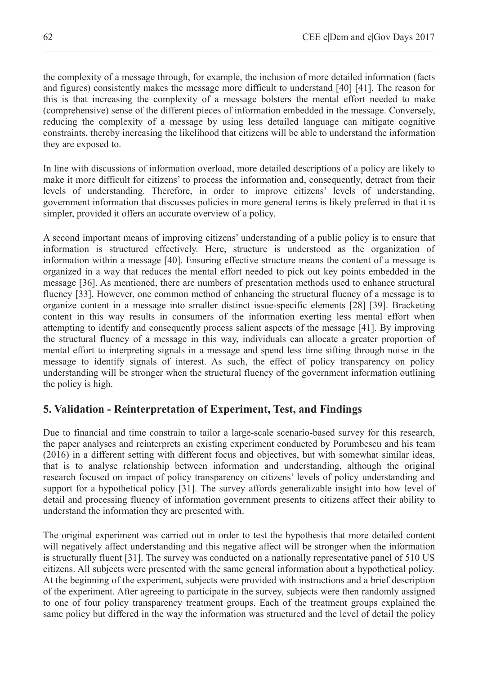the complexity of a message through, for example, the inclusion of more detailed information (facts and figures) consistently makes the message more difficult to understand [40] [41]. The reason for this is that increasing the complexity of a message bolsters the mental effort needed to make (comprehensive) sense of the different pieces of information embedded in the message. Conversely, reducing the complexity of a message by using less detailed language can mitigate cognitive constraints, thereby increasing the likelihood that citizens will be able to understand the information they are exposed to.

In line with discussions of information overload, more detailed descriptions of a policy are likely to make it more difficult for citizens' to process the information and, consequently, detract from their levels of understanding. Therefore, in order to improve citizens' levels of understanding, government information that discusses policies in more general terms is likely preferred in that it is simpler, provided it offers an accurate overview of a policy.

A second important means of improving citizens' understanding of a public policy is to ensure that information is structured effectively. Here, structure is understood as the organization of information within a message [40]. Ensuring effective structure means the content of a message is organized in a way that reduces the mental effort needed to pick out key points embedded in the message [36]. As mentioned, there are numbers of presentation methods used to enhance structural fluency [33]. However, one common method of enhancing the structural fluency of a message is to organize content in a message into smaller distinct issue-specific elements [28] [39]. Bracketing content in this way results in consumers of the information exerting less mental effort when attempting to identify and consequently process salient aspects of the message [41]. By improving the structural fluency of a message in this way, individuals can allocate a greater proportion of mental effort to interpreting signals in a message and spend less time sifting through noise in the message to identify signals of interest. As such, the effect of policy transparency on policy understanding will be stronger when the structural fluency of the government information outlining the policy is high.

### **5. Validation - Reinterpretation of Experiment, Test, and Findings**

Due to financial and time constrain to tailor a large-scale scenario-based survey for this research, the paper analyses and reinterprets an existing experiment conducted by Porumbescu and his team (2016) in a different setting with different focus and objectives, but with somewhat similar ideas, that is to analyse relationship between information and understanding, although the original research focused on impact of policy transparency on citizens' levels of policy understanding and support for a hypothetical policy [31]. The survey affords generalizable insight into how level of detail and processing fluency of information government presents to citizens affect their ability to understand the information they are presented with.

The original experiment was carried out in order to test the hypothesis that more detailed content will negatively affect understanding and this negative affect will be stronger when the information is structurally fluent [31]. The survey was conducted on a nationally representative panel of 510 US citizens. All subjects were presented with the same general information about a hypothetical policy. At the beginning of the experiment, subjects were provided with instructions and a brief description of the experiment. After agreeing to participate in the survey, subjects were then randomly assigned to one of four policy transparency treatment groups. Each of the treatment groups explained the same policy but differed in the way the information was structured and the level of detail the policy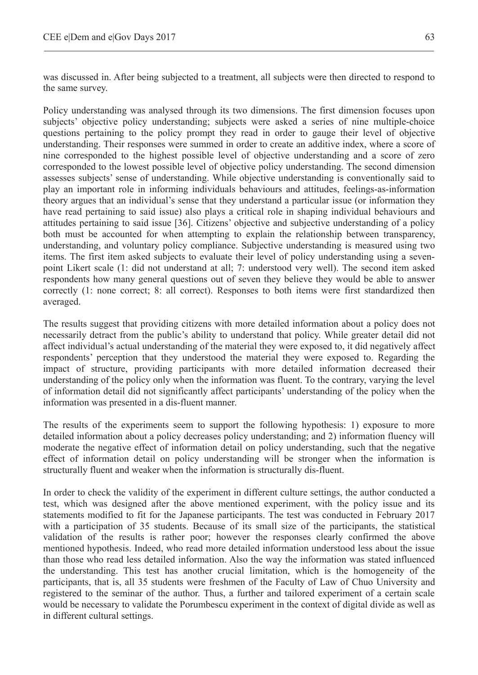was discussed in. After being subjected to a treatment, all subjects were then directed to respond to the same survey.

Policy understanding was analysed through its two dimensions. The first dimension focuses upon subjects' objective policy understanding; subjects were asked a series of nine multiple-choice questions pertaining to the policy prompt they read in order to gauge their level of objective understanding. Their responses were summed in order to create an additive index, where a score of nine corresponded to the highest possible level of objective understanding and a score of zero corresponded to the lowest possible level of objective policy understanding. The second dimension assesses subjects' sense of understanding. While objective understanding is conventionally said to play an important role in informing individuals behaviours and attitudes, feelings-as-information theory argues that an individual's sense that they understand a particular issue (or information they have read pertaining to said issue) also plays a critical role in shaping individual behaviours and attitudes pertaining to said issue [36]. Citizens' objective and subjective understanding of a policy both must be accounted for when attempting to explain the relationship between transparency, understanding, and voluntary policy compliance. Subjective understanding is measured using two items. The first item asked subjects to evaluate their level of policy understanding using a sevenpoint Likert scale (1: did not understand at all; 7: understood very well). The second item asked respondents how many general questions out of seven they believe they would be able to answer correctly (1: none correct; 8: all correct). Responses to both items were first standardized then averaged.

The results suggest that providing citizens with more detailed information about a policy does not necessarily detract from the public's ability to understand that policy. While greater detail did not affect individual's actual understanding of the material they were exposed to, it did negatively affect respondents' perception that they understood the material they were exposed to. Regarding the impact of structure, providing participants with more detailed information decreased their understanding of the policy only when the information was fluent. To the contrary, varying the level of information detail did not significantly affect participants' understanding of the policy when the information was presented in a dis-fluent manner.

The results of the experiments seem to support the following hypothesis: 1) exposure to more detailed information about a policy decreases policy understanding; and 2) information fluency will moderate the negative effect of information detail on policy understanding, such that the negative effect of information detail on policy understanding will be stronger when the information is structurally fluent and weaker when the information is structurally dis-fluent.

In order to check the validity of the experiment in different culture settings, the author conducted a test, which was designed after the above mentioned experiment, with the policy issue and its statements modified to fit for the Japanese participants. The test was conducted in February 2017 with a participation of 35 students. Because of its small size of the participants, the statistical validation of the results is rather poor; however the responses clearly confirmed the above mentioned hypothesis. Indeed, who read more detailed information understood less about the issue than those who read less detailed information. Also the way the information was stated influenced the understanding. This test has another crucial limitation, which is the homogeneity of the participants, that is, all 35 students were freshmen of the Faculty of Law of Chuo University and registered to the seminar of the author. Thus, a further and tailored experiment of a certain scale would be necessary to validate the Porumbescu experiment in the context of digital divide as well as in different cultural settings.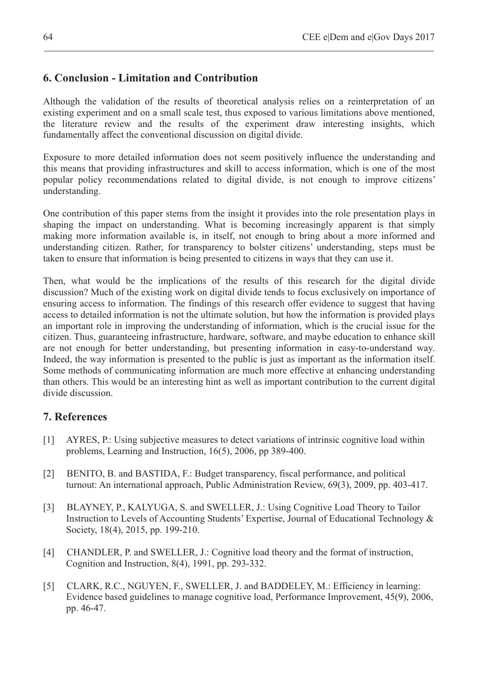## **6. Conclusion - Limitation and Contribution**

Although the validation of the results of theoretical analysis relies on a reinterpretation of an existing experiment and on a small scale test, thus exposed to various limitations above mentioned, the literature review and the results of the experiment draw interesting insights, which fundamentally affect the conventional discussion on digital divide.

Exposure to more detailed information does not seem positively influence the understanding and this means that providing infrastructures and skill to access information, which is one of the most popular policy recommendations related to digital divide, is not enough to improve citizens' understanding.

One contribution of this paper stems from the insight it provides into the role presentation plays in shaping the impact on understanding. What is becoming increasingly apparent is that simply making more information available is, in itself, not enough to bring about a more informed and understanding citizen. Rather, for transparency to bolster citizens' understanding, steps must be taken to ensure that information is being presented to citizens in ways that they can use it.

Then, what would be the implications of the results of this research for the digital divide discussion? Much of the existing work on digital divide tends to focus exclusively on importance of ensuring access to information. The findings of this research offer evidence to suggest that having access to detailed information is not the ultimate solution, but how the information is provided plays an important role in improving the understanding of information, which is the crucial issue for the citizen. Thus, guaranteeing infrastructure, hardware, software, and maybe education to enhance skill are not enough for better understanding, but presenting information in easy-to-understand way. Indeed, the way information is presented to the public is just as important as the information itself. Some methods of communicating information are much more effective at enhancing understanding than others. This would be an interesting hint as well as important contribution to the current digital divide discussion.

## **7. References**

- [1] AYRES, P.: Using subjective measures to detect variations of intrinsic cognitive load within problems, Learning and Instruction, 16(5), 2006, pp 389-400.
- [2] BENITO, B. and BASTIDA, F.: Budget transparency, fiscal performance, and political turnout: An international approach, Public Administration Review, 69(3), 2009, pp. 403-417.
- [3] BLAYNEY, P., KALYUGA, S. and SWELLER, J.: Using Cognitive Load Theory to Tailor Instruction to Levels of Accounting Students' Expertise, Journal of Educational Technology & Society, 18(4), 2015, pp. 199-210.
- [4] CHANDLER, P. and SWELLER, J.: Cognitive load theory and the format of instruction, Cognition and Instruction, 8(4), 1991, pp. 293-332.
- [5] CLARK, R.C., NGUYEN, F., SWELLER, J. and BADDELEY, M.: Efficiency in learning: Evidence based guidelines to manage cognitive load, Performance Improvement, 45(9), 2006, pp. 46-47.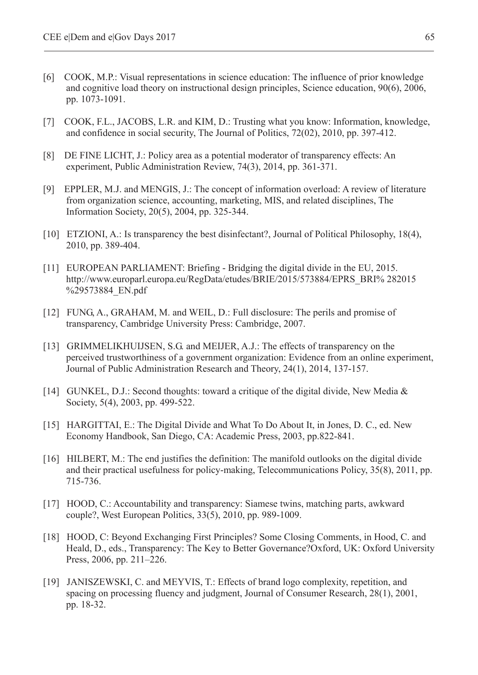- [6] COOK, M.P.: Visual representations in science education: The influence of prior knowledge and cognitive load theory on instructional design principles, Science education, 90(6), 2006, pp. 1073-1091.
- [7] COOK, F.L., JACOBS, L.R. and KIM, D.: Trusting what you know: Information, knowledge, and confidence in social security, The Journal of Politics, 72(02), 2010, pp. 397-412.
- [8] DE FINE LICHT, J.: Policy area as a potential moderator of transparency effects: An experiment, Public Administration Review, 74(3), 2014, pp. 361-371.
- [9] EPPLER, M.J. and MENGIS, J.: The concept of information overload: A review of literature from organization science, accounting, marketing, MIS, and related disciplines, The Information Society, 20(5), 2004, pp. 325-344.
- [10] ETZIONI, A.: Is transparency the best disinfectant?, Journal of Political Philosophy, 18(4), 2010, pp. 389-404.
- [11] EUROPEAN PARLIAMENT: Briefing Bridging the digital divide in the EU, 2015. http://www.europarl.europa.eu/RegData/etudes/BRIE/2015/573884/EPRS\_BRI% 282015 %29573884 EN.pdf
- [12] FUNG, A., GRAHAM, M. and WEIL, D.: Full disclosure: The perils and promise of transparency, Cambridge University Press: Cambridge, 2007.
- [13] GRIMMELIKHUIJSEN, S.G. and MEIJER, A.J.: The effects of transparency on the perceived trustworthiness of a government organization: Evidence from an online experiment, Journal of Public Administration Research and Theory, 24(1), 2014, 137-157.
- [14] GUNKEL, D.J.: Second thoughts: toward a critique of the digital divide, New Media & Society, 5(4), 2003, pp. 499-522.
- [15] HARGITTAI, E.: The Digital Divide and What To Do About It, in Jones, D. C., ed. New Economy Handbook, San Diego, CA: Academic Press, 2003, pp.822-841.
- [16] HILBERT, M.: The end justifies the definition: The manifold outlooks on the digital divide and their practical usefulness for policy-making, Telecommunications Policy, 35(8), 2011, pp. 715-736.
- [17] HOOD, C.: Accountability and transparency: Siamese twins, matching parts, awkward couple?, West European Politics, 33(5), 2010, pp. 989-1009.
- [18] HOOD, C: Beyond Exchanging First Principles? Some Closing Comments, in Hood, C. and Heald, D., eds., Transparency: The Key to Better Governance?Oxford, UK: Oxford University Press, 2006, pp. 211–226.
- [19] JANISZEWSKI, C. and MEYVIS, T.: Effects of brand logo complexity, repetition, and spacing on processing fluency and judgment, Journal of Consumer Research, 28(1), 2001, pp. 18-32.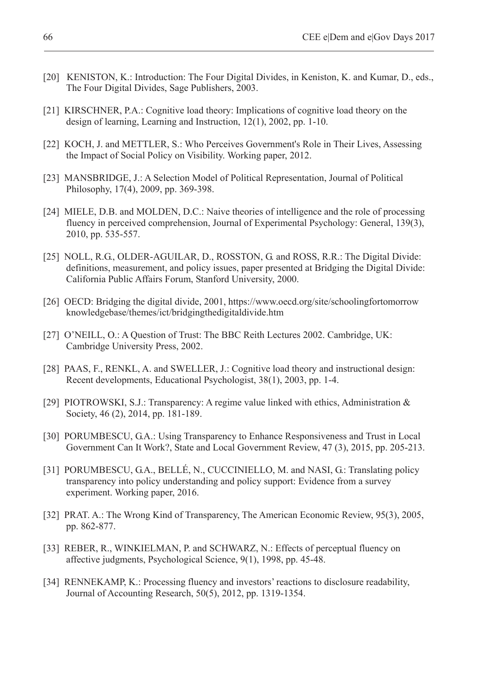- [20] KENISTON, K.: Introduction: The Four Digital Divides, in Keniston, K. and Kumar, D., eds., The Four Digital Divides, Sage Publishers, 2003.
- [21] KIRSCHNER, P.A.: Cognitive load theory: Implications of cognitive load theory on the design of learning, Learning and Instruction, 12(1), 2002, pp. 1-10.
- [22] KOCH, J. and METTLER, S.: Who Perceives Government's Role in Their Lives, Assessing the Impact of Social Policy on Visibility. Working paper, 2012.
- [23] MANSBRIDGE, J.: A Selection Model of Political Representation, Journal of Political Philosophy, 17(4), 2009, pp. 369-398.
- [24] MIELE, D.B. and MOLDEN, D.C.: Naive theories of intelligence and the role of processing fluency in perceived comprehension, Journal of Experimental Psychology: General, 139(3), 2010, pp. 535-557.
- [25] NOLL, R.G., OLDER-AGUILAR, D., ROSSTON, G. and ROSS, R.R.: The Digital Divide: definitions, measurement, and policy issues, paper presented at Bridging the Digital Divide: California Public Affairs Forum, Stanford University, 2000.
- [26] OECD: Bridging the digital divide, 2001, https://www.oecd.org/site/schoolingfortomorrow knowledgebase/themes/ict/bridgingthedigitaldivide.htm
- [27] O'NEILL, O.: A Question of Trust: The BBC Reith Lectures 2002. Cambridge, UK: Cambridge University Press, 2002.
- [28] PAAS, F., RENKL, A. and SWELLER, J.: Cognitive load theory and instructional design: Recent developments, Educational Psychologist, 38(1), 2003, pp. 1-4.
- [29] PIOTROWSKI, S.J.: Transparency: A regime value linked with ethics, Administration & Society, 46 (2), 2014, pp. 181-189.
- [30] PORUMBESCU, G.A.: Using Transparency to Enhance Responsiveness and Trust in Local Government Can It Work?, State and Local Government Review, 47 (3), 2015, pp. 205-213.
- [31] PORUMBESCU, G.A., BELLÉ, N., CUCCINIELLO, M. and NASI, G.: Translating policy transparency into policy understanding and policy support: Evidence from a survey experiment. Working paper, 2016.
- [32] PRAT. A.: The Wrong Kind of Transparency, The American Economic Review, 95(3), 2005, pp. 862-877.
- [33] REBER, R., WINKIELMAN, P. and SCHWARZ, N.: Effects of perceptual fluency on affective judgments, Psychological Science, 9(1), 1998, pp. 45-48.
- [34] RENNEKAMP, K.: Processing fluency and investors' reactions to disclosure readability, Journal of Accounting Research, 50(5), 2012, pp. 1319-1354.